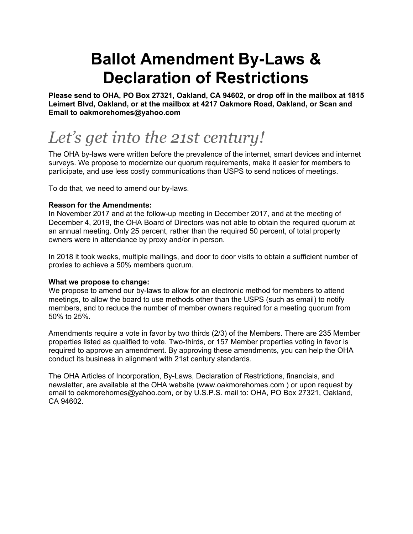# **Ballot Amendment By-Laws & Declaration of Restrictions**

**Please send to OHA, PO Box 27321, Oakland, CA 94602, or drop off in the mailbox at 1815 Leimert Blvd, Oakland, or at the mailbox at 4217 Oakmore Road, Oakland, or Scan and Email to oakmorehomes@yahoo.com**

# *Let's get into the 21st century!*

The OHA by-laws were written before the prevalence of the internet, smart devices and internet surveys. We propose to modernize our quorum requirements, make it easier for members to participate, and use less costly communications than USPS to send notices of meetings.

To do that, we need to amend our by-laws.

### **Reason for the Amendments:**

In November 2017 and at the follow-up meeting in December 2017, and at the meeting of December 4, 2019, the OHA Board of Directors was not able to obtain the required quorum at an annual meeting. Only 25 percent, rather than the required 50 percent, of total property owners were in attendance by proxy and/or in person.

In 2018 it took weeks, multiple mailings, and door to door visits to obtain a sufficient number of proxies to achieve a 50% members quorum.

#### **What we propose to change:**

We propose to amend our by-laws to allow for an electronic method for members to attend meetings, to allow the board to use methods other than the USPS (such as email) to notify members, and to reduce the number of member owners required for a meeting quorum from 50% to 25%.

Amendments require a vote in favor by two thirds (2/3) of the Members. There are 235 Member properties listed as qualified to vote. Two-thirds, or 157 Member properties voting in favor is required to approve an amendment. By approving these amendments, you can help the OHA conduct its business in alignment with 21st century standards.

The OHA Articles of Incorporation, By-Laws, Declaration of Restrictions, financials, and newsletter, are available at the OHA website (www.oakmorehomes.com ) or upon request by email to oakmorehomes@yahoo.com, or by U.S.P.S. mail to: OHA, PO Box 27321, Oakland, CA 94602.